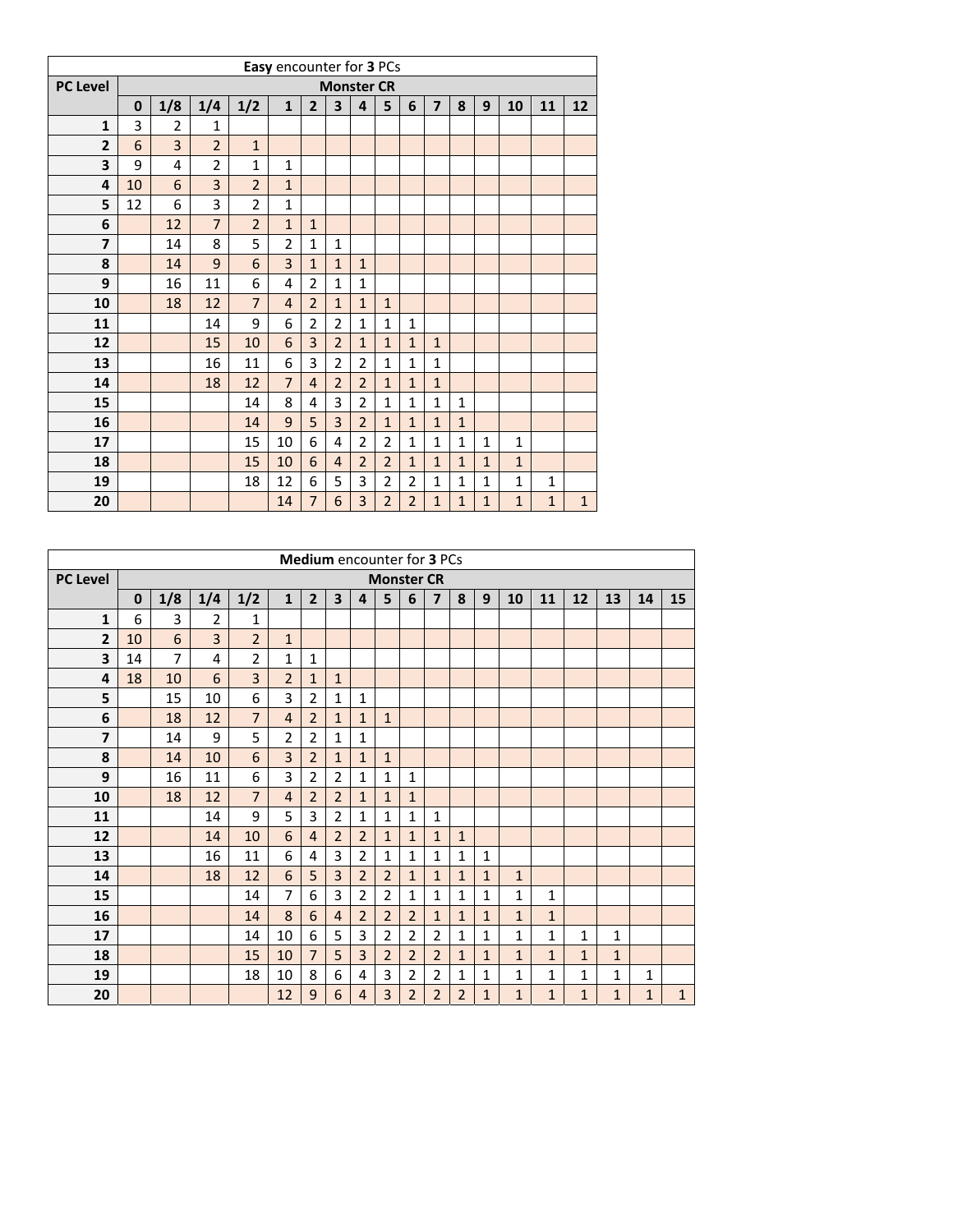|                         |    |                |                |                | Easy encounter for 3 PCs |                |                   |                |                |                |                         |              |              |              |              |              |
|-------------------------|----|----------------|----------------|----------------|--------------------------|----------------|-------------------|----------------|----------------|----------------|-------------------------|--------------|--------------|--------------|--------------|--------------|
| <b>PC Level</b>         |    |                |                |                |                          |                | <b>Monster CR</b> |                |                |                |                         |              |              |              |              |              |
|                         | 0  | 1/8            | 1/4            | 1/2            | $\mathbf{1}$             | $\overline{2}$ | 3                 | 4              | 5              | 6              | $\overline{\mathbf{z}}$ | 8            | 9            | 10           | 11           | 12           |
| $\mathbf{1}$            | 3  | $\overline{2}$ | 1              |                |                          |                |                   |                |                |                |                         |              |              |              |              |              |
| $\overline{2}$          | 6  | 3              | $\overline{2}$ | $\mathbf{1}$   |                          |                |                   |                |                |                |                         |              |              |              |              |              |
| 3                       | 9  | 4              | $\overline{2}$ | $\mathbf 1$    | $\mathbf{1}$             |                |                   |                |                |                |                         |              |              |              |              |              |
| 4                       | 10 | 6              | 3              | $\overline{2}$ | $\mathbf{1}$             |                |                   |                |                |                |                         |              |              |              |              |              |
| 5                       | 12 | 6              | 3              | $\overline{2}$ | $\mathbf{1}$             |                |                   |                |                |                |                         |              |              |              |              |              |
| 6                       |    | 12             | $\overline{7}$ | $\overline{2}$ | $\mathbf{1}$             | $\mathbf{1}$   |                   |                |                |                |                         |              |              |              |              |              |
| $\overline{\mathbf{z}}$ |    | 14             | 8              | 5              | $\overline{2}$           | $\mathbf 1$    | $\mathbf{1}$      |                |                |                |                         |              |              |              |              |              |
| 8                       |    | 14             | 9              | 6              | 3                        | $\mathbf{1}$   | $\mathbf{1}$      | $\mathbf{1}$   |                |                |                         |              |              |              |              |              |
| 9                       |    | 16             | 11             | 6              | 4                        | $\overline{2}$ | $\mathbf{1}$      | $\mathbf{1}$   |                |                |                         |              |              |              |              |              |
| 10                      |    | 18             | 12             | $\overline{7}$ | $\overline{4}$           | $\overline{2}$ | $\mathbf{1}$      | $\mathbf{1}$   | $\mathbf{1}$   |                |                         |              |              |              |              |              |
| 11                      |    |                | 14             | 9              | 6                        | $\overline{2}$ | $\overline{2}$    | $\mathbf{1}$   | $\mathbf{1}$   | $\mathbf{1}$   |                         |              |              |              |              |              |
| 12                      |    |                | 15             | 10             | 6                        | 3              | $\overline{2}$    | $\mathbf{1}$   | $\mathbf{1}$   | $\mathbf{1}$   | $\mathbf{1}$            |              |              |              |              |              |
| 13                      |    |                | 16             | 11             | 6                        | 3              | $\overline{2}$    | $\overline{2}$ | $\mathbf{1}$   | $\mathbf{1}$   | $\mathbf{1}$            |              |              |              |              |              |
| 14                      |    |                | 18             | 12             | $\overline{7}$           | $\overline{4}$ | $\overline{2}$    | $\overline{2}$ | $\mathbf{1}$   | $\mathbf{1}$   | $\mathbf{1}$            |              |              |              |              |              |
| 15                      |    |                |                | 14             | 8                        | 4              | 3                 | $\overline{2}$ | $\mathbf 1$    | $\mathbf{1}$   | $\mathbf{1}$            | $\mathbf 1$  |              |              |              |              |
| 16                      |    |                |                | 14             | 9                        | 5              | 3                 | $\overline{2}$ | $\mathbf{1}$   | $\mathbf{1}$   | $\mathbf{1}$            | $\mathbf{1}$ |              |              |              |              |
| 17                      |    |                |                | 15             | 10                       | 6              | 4                 | $\overline{2}$ | $\overline{2}$ | $\mathbf{1}$   | $\mathbf{1}$            | $\mathbf 1$  | $\mathbf{1}$ | $\mathbf{1}$ |              |              |
| 18                      |    |                |                | 15             | 10                       | 6              | $\overline{4}$    | $\overline{2}$ | $\overline{2}$ | $\mathbf{1}$   | $\mathbf{1}$            | $\mathbf{1}$ | $\mathbf{1}$ | $\mathbf{1}$ |              |              |
| 19                      |    |                |                | 18             | 12                       | 6              | 5                 | 3              | $\overline{2}$ | $\overline{2}$ | $\mathbf{1}$            | $\mathbf{1}$ | $\mathbf{1}$ | $\mathbf{1}$ | 1            |              |
| 20                      |    |                |                |                | 14                       | 7              | 6                 | 3              | $\overline{2}$ | $\overline{2}$ | $\mathbf{1}$            | $\mathbf{1}$ | $\mathbf 1$  | $\mathbf{1}$ | $\mathbf{1}$ | $\mathbf{1}$ |

|                         |          |                |                |                |                |                | <b>Medium</b> encounter for <b>3</b> PCs |                |                |                   |                |                |                |                |              |                |                |              |              |
|-------------------------|----------|----------------|----------------|----------------|----------------|----------------|------------------------------------------|----------------|----------------|-------------------|----------------|----------------|----------------|----------------|--------------|----------------|----------------|--------------|--------------|
| <b>PC Level</b>         |          |                |                |                |                |                |                                          |                |                | <b>Monster CR</b> |                |                |                |                |              |                |                |              |              |
|                         | $\bf{0}$ | 1/8            | 1/4            | 1/2            | $\mathbf{1}$   | $\overline{2}$ | 3                                        | 4              | 5              | 6                 | $\overline{7}$ | 8              | 9              | 10             | 11           | 12             | 13             | 14           | 15           |
| $\mathbf{1}$            | 6        | 3              | $\overline{2}$ | $\mathbf{1}$   |                |                |                                          |                |                |                   |                |                |                |                |              |                |                |              |              |
| $\mathbf{2}$            | 10       | 6              | 3              | $\overline{2}$ | $\mathbf{1}$   |                |                                          |                |                |                   |                |                |                |                |              |                |                |              |              |
| $\overline{\mathbf{3}}$ | 14       | $\overline{7}$ | 4              | $\overline{2}$ | $\mathbf{1}$   | $\mathbf{1}$   |                                          |                |                |                   |                |                |                |                |              |                |                |              |              |
| 4                       | 18       | 10             | 6              | 3              | $\overline{2}$ | $\mathbf{1}$   | $\mathbf{1}$                             |                |                |                   |                |                |                |                |              |                |                |              |              |
| 5                       |          | 15             | 10             | 6              | 3              | $\overline{2}$ | 1                                        | $\mathbf{1}$   |                |                   |                |                |                |                |              |                |                |              |              |
| 6                       |          | 18             | 12             | $\overline{7}$ | $\overline{4}$ | $\overline{2}$ | $\mathbf{1}$                             | $\mathbf{1}$   | $\mathbf{1}$   |                   |                |                |                |                |              |                |                |              |              |
| $\overline{\mathbf{z}}$ |          | 14             | 9              | 5              | $\overline{2}$ | $\overline{2}$ | 1                                        | $\mathbf{1}$   |                |                   |                |                |                |                |              |                |                |              |              |
| 8                       |          | 14             | 10             | 6              | $\overline{3}$ | $\overline{2}$ | $\mathbf{1}$                             | $\mathbf{1}$   | $\mathbf{1}$   |                   |                |                |                |                |              |                |                |              |              |
| 9                       |          | 16             | 11             | 6              | 3              | $\overline{2}$ | $\overline{2}$                           | $\mathbf{1}$   | $\mathbf{1}$   | 1                 |                |                |                |                |              |                |                |              |              |
| 10                      |          | 18             | 12             | $\overline{7}$ | $\overline{4}$ | $\overline{2}$ | $\overline{2}$                           | $\mathbf{1}$   | $\mathbf{1}$   | $\mathbf{1}$      |                |                |                |                |              |                |                |              |              |
| 11                      |          |                | 14             | 9              | 5              | 3              | $\overline{2}$                           | $\mathbf{1}$   | $\mathbf{1}$   | $\mathbf{1}$      | $\mathbf{1}$   |                |                |                |              |                |                |              |              |
| 12                      |          |                | 14             | 10             | 6              | $\overline{4}$ | $\overline{2}$                           | $\overline{2}$ | $\mathbf{1}$   | $\mathbf{1}$      | $\mathbf{1}$   | $\mathbf{1}$   |                |                |              |                |                |              |              |
| 13                      |          |                | 16             | 11             | 6              | 4              | 3                                        | $\overline{2}$ | $\mathbf{1}$   | 1                 | 1              | 1              | 1              |                |              |                |                |              |              |
| 14                      |          |                | 18             | 12             | 6              | 5              | 3                                        | $\overline{2}$ | $\overline{2}$ | $\mathbf{1}$      | $\mathbf{1}$   | $\mathbf{1}$   | $\mathbf{1}$   | $\mathbf{1}$   |              |                |                |              |              |
| 15                      |          |                |                | 14             | $\overline{7}$ | 6              | 3                                        | $\overline{2}$ | 2              | 1                 | $\mathbf{1}$   | $\mathbf{1}$   | 1              | $\mathbf{1}$   | $\mathbf{1}$ |                |                |              |              |
| 16                      |          |                |                | 14             | 8              | 6              | $\overline{4}$                           | $\overline{2}$ | $\overline{2}$ | $\overline{2}$    | $\mathbf{1}$   | $\mathbf{1}$   | $\mathbf{1}$   | $\overline{1}$ | $\mathbf{1}$ |                |                |              |              |
| 17                      |          |                |                | 14             | 10             | 6              | 5                                        | 3              | $\overline{2}$ | $\overline{2}$    | $\overline{2}$ | $\mathbf{1}$   | $\mathbf{1}$   | $\mathbf{1}$   | $\mathbf{1}$ | 1              | $\mathbf{1}$   |              |              |
| 18                      |          |                |                | 15             | 10             | $\overline{7}$ | 5                                        | 3              | $\overline{2}$ | $\overline{2}$    | $\overline{2}$ | $\mathbf{1}$   | $\mathbf{1}$   | $\mathbf{1}$   | $\mathbf{1}$ | $\mathbf{1}$   | $\mathbf{1}$   |              |              |
| 19                      |          |                |                | 18             | 10             | 8              | 6                                        | 4              | 3              | $\overline{2}$    | $\overline{2}$ | $\mathbf{1}$   | 1              | $\mathbf{1}$   | $\mathbf{1}$ | $\mathbf{1}$   | $\mathbf{1}$   | $\mathbf{1}$ |              |
| 20                      |          |                |                |                | 12             | $\overline{9}$ | 6                                        | $\overline{4}$ | 3              | $\overline{2}$    | $\overline{2}$ | $\overline{2}$ | $\overline{1}$ | $\overline{1}$ | $\mathbf{1}$ | $\overline{1}$ | $\overline{1}$ | $\mathbf{1}$ | $\mathbf{1}$ |